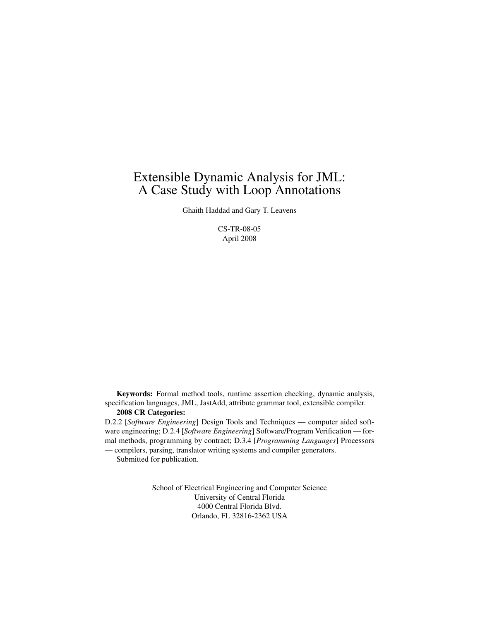## Extensible Dynamic Analysis for JML: A Case Study with Loop Annotations

Ghaith Haddad and Gary T. Leavens

CS-TR-08-05 April 2008

Keywords: Formal method tools, runtime assertion checking, dynamic analysis, specification languages, JML, JastAdd, attribute grammar tool, extensible compiler. 2008 CR Categories:

D.2.2 [*Software Engineering*] Design Tools and Techniques — computer aided software engineering; D.2.4 [*Software Engineering*] Software/Program Verification — formal methods, programming by contract; D.3.4 [*Programming Languages*] Processors — compilers, parsing, translator writing systems and compiler generators.

Submitted for publication.

School of Electrical Engineering and Computer Science University of Central Florida 4000 Central Florida Blvd. Orlando, FL 32816-2362 USA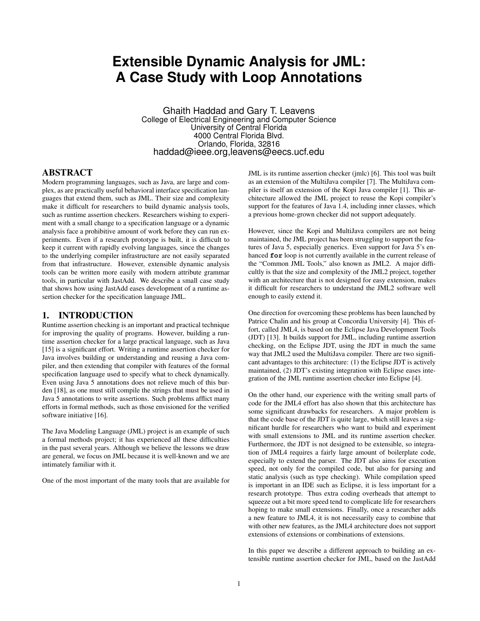# **Extensible Dynamic Analysis for JML: A Case Study with Loop Annotations**

Ghaith Haddad and Gary T. Leavens College of Electrical Engineering and Computer Science University of Central Florida 4000 Central Florida Blvd. Orlando, Florida, 32816 haddad@ieee.org,leavens@eecs.ucf.edu

## ABSTRACT

Modern programming languages, such as Java, are large and complex, as are practically useful behavioral interface specification languages that extend them, such as JML. Their size and complexity make it difficult for researchers to build dynamic analysis tools, such as runtime assertion checkers. Researchers wishing to experiment with a small change to a specification language or a dynamic analysis face a prohibitive amount of work before they can run experiments. Even if a research prototype is built, it is difficult to keep it current with rapidly evolving languages, since the changes to the underlying compiler infrastructure are not easily separated from that infrastructure. However, extensible dynamic analysis tools can be written more easily with modern attribute grammar tools, in particular with JastAdd. We describe a small case study that shows how using JastAdd eases development of a runtime assertion checker for the specification language JML.

## 1. INTRODUCTION

Runtime assertion checking is an important and practical technique for improving the quality of programs. However, building a runtime assertion checker for a large practical language, such as Java [15] is a significant effort. Writing a runtime assertion checker for Java involves building or understanding and reusing a Java compiler, and then extending that compiler with features of the formal specification language used to specify what to check dynamically. Even using Java 5 annotations does not relieve much of this burden [18], as one must still compile the strings that must be used in Java 5 annotations to write assertions. Such problems afflict many efforts in formal methods, such as those envisioned for the verified software initiative [16].

The Java Modeling Language (JML) project is an example of such a formal methods project; it has experienced all these difficulties in the past several years. Although we believe the lessons we draw are general, we focus on JML because it is well-known and we are intimately familiar with it.

One of the most important of the many tools that are available for

JML is its runtime assertion checker (jmlc) [6]. This tool was built as an extension of the MultiJava compiler [7]. The MultiJava compiler is itself an extension of the Kopi Java compiler [1]. This architecture allowed the JML project to reuse the Kopi compiler's support for the features of Java 1.4, including inner classes, which a previous home-grown checker did not support adequately.

However, since the Kopi and MultiJava compilers are not being maintained, the JML project has been struggling to support the features of Java 5, especially generics. Even support for Java 5's enhanced **for** loop is not currently available in the current release of the "Common JML Tools," also known as JML2. A major difficultly is that the size and complexity of the JML2 project, together with an architecture that is not designed for easy extension, makes it difficult for researchers to understand the JML2 software well enough to easily extend it.

One direction for overcoming these problems has been launched by Patrice Chalin and his group at Concordia University [4]. This effort, called JML4, is based on the Eclipse Java Development Tools (JDT) [13]. It builds support for JML, including runtime assertion checking, on the Eclipse JDT, using the JDT in much the same way that JML2 used the MultiJava compiler. There are two significant advantages to this architecture: (1) the Eclipse JDT is actively maintained, (2) JDT's existing integration with Eclipse eases integration of the JML runtime assertion checker into Eclipse [4].

On the other hand, our experience with the writing small parts of code for the JML4 effort has also shown that this architecture has some significant drawbacks for researchers. A major problem is that the code base of the JDT is quite large, which still leaves a significant hurdle for researchers who want to build and experiment with small extensions to JML and its runtime assertion checker. Furthermore, the JDT is not designed to be extensible, so integration of JML4 requires a fairly large amount of boilerplate code, especially to extend the parser. The JDT also aims for execution speed, not only for the compiled code, but also for parsing and static analysis (such as type checking). While compilation speed is important in an IDE such as Eclipse, it is less important for a research prototype. Thus extra coding overheads that attempt to squeeze out a bit more speed tend to complicate life for researchers hoping to make small extensions. Finally, once a researcher adds a new feature to JML4, it is not necessarily easy to combine that with other new features, as the JML4 architecture does not support extensions of extensions or combinations of extensions.

In this paper we describe a different approach to building an extensible runtime assertion checker for JML, based on the JastAdd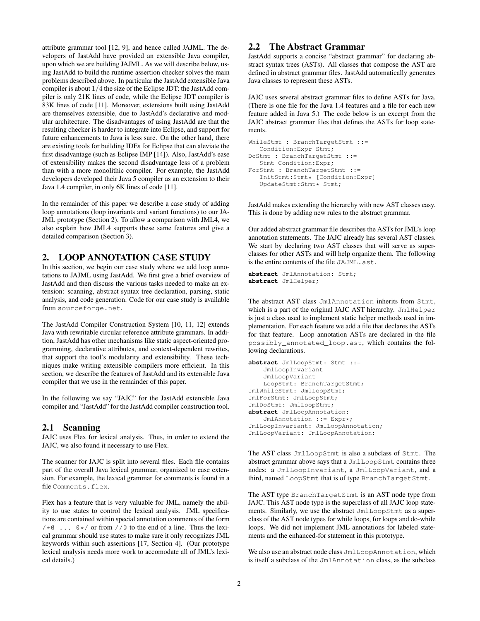attribute grammar tool [12, 9], and hence called JAJML. The developers of JastAdd have provided an extensible Java compiler, upon which we are building JAJML. As we will describe below, using JastAdd to build the runtime assertion checker solves the main problems described above. In particular the JastAdd extensible Java compiler is about 1/4 the size of the Eclipse JDT: the JastAdd compiler is only 21K lines of code, while the Eclipse JDT compiler is 83K lines of code [11]. Moreover, extensions built using JastAdd are themselves extensible, due to JastAdd's declarative and modular architecture. The disadvantages of using JastAdd are that the resulting checker is harder to integrate into Eclipse, and support for future enhancements to Java is less sure. On the other hand, there are existing tools for building IDEs for Eclipse that can aleviate the first disadvantage (such as Eclipse IMP [14]). Also, JastAdd's ease of extensibility makes the second disadvantage less of a problem than with a more monolithic compiler. For example, the JastAdd developers developed their Java 5 compiler as an extension to their Java 1.4 compiler, in only 6K lines of code [11].

In the remainder of this paper we describe a case study of adding loop annotations (loop invariants and variant functions) to our JA-JML prototype (Section 2). To allow a comparison with JML4, we also explain how JML4 supports these same features and give a detailed comparison (Section 3).

## 2. LOOP ANNOTATION CASE STUDY

In this section, we begin our case study where we add loop annotations to JAJML using JastAdd. We first give a brief overview of JastAdd and then discuss the various tasks needed to make an extension: scanning, abstract syntax tree declaration, parsing, static analysis, and code generation. Code for our case study is available from sourceforge.net.

The JastAdd Compiler Construction System [10, 11, 12] extends Java with rewritable circular reference attribute grammars. In addition, JastAdd has other mechanisms like static aspect-oriented programming, declarative attributes, and context-dependent rewrites, that support the tool's modularity and extensibility. These techniques make writing extensible compilers more efficient. In this section, we describe the features of JastAdd and its extensible Java compiler that we use in the remainder of this paper.

In the following we say "JAJC" for the JastAdd extensible Java compiler and "JastAdd" for the JastAdd compiler construction tool.

## 2.1 Scanning

JAJC uses Flex for lexical analysis. Thus, in order to extend the JAJC, we also found it necessary to use Flex.

The scanner for JAJC is split into several files. Each file contains part of the overall Java lexical grammar, organized to ease extension. For example, the lexical grammar for comments is found in a file Comments.flex.

Flex has a feature that is very valuable for JML, namely the ability to use states to control the lexical analysis. JML specifications are contained within special annotation comments of the form  $/\star$   $\circ$  ...  $\circ \star$  or from // $\circ$  to the end of a line. Thus the lexical grammar should use states to make sure it only recognizes JML keywords within such assertions [17, Section 4]. (Our prototype lexical analysis needs more work to accomodate all of JML's lexical details.)

## 2.2 The Abstract Grammar

JastAdd supports a concise "abstract grammar" for declaring abstract syntax trees (ASTs). All classes that compose the AST are defined in abstract grammar files. JastAdd automatically generates Java classes to represent these ASTs.

JAJC uses several abstract grammar files to define ASTs for Java. (There is one file for the Java 1.4 features and a file for each new feature added in Java 5.) The code below is an excerpt from the JAJC abstract grammar files that defines the ASTs for loop statements.

```
WhileStmt : BranchTargetStmt ::=
  Condition:Expr Stmt;
DoStmt : BranchTargetStmt ::=
   Stmt Condition:Expr;
ForStmt : BranchTargetStmt ::=
   InitStmt:Stmt* [Condition:Expr]
   UpdateStmt:Stmt* Stmt;
```
JastAdd makes extending the hierarchy with new AST classes easy. This is done by adding new rules to the abstract grammar.

Our added abstract grammar file describes the ASTs for JML's loop annotation statements. The JAJC already has several AST classes. We start by declaring two AST classes that will serve as superclasses for other ASTs and will help organize them. The following is the entire contents of the file JAJML.ast.

```
abstract JmlAnnotation: Stmt;
abstract JmlHelper;
```
The abstract AST class JmlAnnotation inherits from Stmt, which is a part of the original JAJC AST hierarchy. JmlHelper is just a class used to implement static helper methods used in implementation. For each feature we add a file that declares the ASTs for that feature. Loop annotation ASTs are declared in the file possibly\_annotated\_loop.ast, which contains the following declarations.

```
abstract JmlLoopStmt: Stmt ::=
    JmlLoopInvariant
    JmlLoopVariant
    LoopStmt: BranchTargetStmt;
JmlWhileStmt: JmlLoopStmt;
JmlForStmt: JmlLoopStmt;
JmlDoStmt: JmlLoopStmt;
abstract JmlLoopAnnotation:
    JmlAnnotation ::= Expr*;
JmlLoopInvariant: JmlLoopAnnotation;
JmlLoopVariant: JmlLoopAnnotation;
```
The AST class JmlLoopStmt is also a subclass of Stmt. The abstract grammar above says that a JmlLoopStmt contains three nodes: a JmlLoopInvariant, a JmlLoopVariant, and a third, named LoopStmt that is of type BranchTargetStmt.

The AST type BranchTargetStmt is an AST node type from JAJC. This AST node type is the superclass of all JAJC loop statements. Similarly, we use the abstract JmlLoopStmt as a superclass of the AST node types for while loops, for loops and do-while loops. We did not implement JML annotations for labeled statements and the enhanced-for statement in this prototype.

We also use an abstract node class JmlLoopAnnotation, which is itself a subclass of the JmlAnnotation class, as the subclass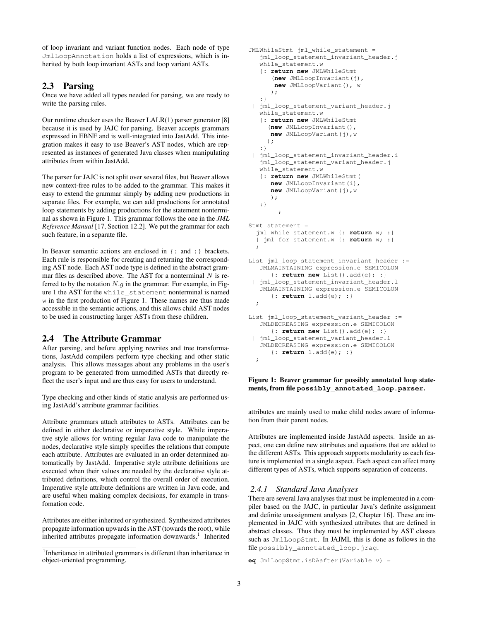of loop invariant and variant function nodes. Each node of type JmlLoopAnnotation holds a list of expressions, which is inherited by both loop invariant ASTs and loop variant ASTs.

## 2.3 Parsing

Once we have added all types needed for parsing, we are ready to write the parsing rules.

Our runtime checker uses the Beaver LALR(1) parser generator [8] because it is used by JAJC for parsing. Beaver accepts grammars expressed in EBNF and is well-integrated into JastAdd. This integration makes it easy to use Beaver's AST nodes, which are represented as instances of generated Java classes when manipulating attributes from within JastAdd.

The parser for JAJC is not split over several files, but Beaver allows new context-free rules to be added to the grammar. This makes it easy to extend the grammar simply by adding new productions in separate files. For example, we can add productions for annotated loop statements by adding productions for the statement nonterminal as shown in Figure 1. This grammar follows the one in the *JML Reference Manual* [17, Section 12.2]. We put the grammar for each such feature, in a separate file.

In Beaver semantic actions are enclosed in {: and :} brackets. Each rule is responsible for creating and returning the corresponding AST node. Each AST node type is defined in the abstract grammar files as described above. The AST for a nonterminal  $N$  is referred to by the notation  $N.g$  in the grammar. For example, in Figure 1 the AST for the while\_statement nonterminal is named w in the first production of Figure 1. These names are thus made accessible in the semantic actions, and this allows child AST nodes to be used in constructing larger ASTs from these children.

## 2.4 The Attribute Grammar

After parsing, and before applying rewrites and tree transformations, JastAdd compilers perform type checking and other static analysis. This allows messages about any problems in the user's program to be generated from unmodified ASTs that directly reflect the user's input and are thus easy for users to understand.

Type checking and other kinds of static analysis are performed using JastAdd's attribute grammar facilities.

Attribute grammars attach attributes to ASTs. Attributes can be defined in either declarative or imperative style. While imperative style allows for writing regular Java code to manipulate the nodes, declarative style simply specifies the relations that compute each attribute. Attributes are evaluated in an order determined automatically by JastAdd. Imperative style attribute definitions are executed when their values are needed by the declarative style attributed definitions, which control the overall order of execution. Imperative style attribute definitions are written in Java code, and are useful when making complex decisions, for example in transfomation code.

Attributes are either inherited or synthesized. Synthesized attributes propagate information upwards in the AST (towards the root), while inherited attributes propagate information downwards.<sup>1</sup> Inherited

```
JMLWhileStmt jml_while_statement =
   jml_loop_statement_invariant_header.j
   while_statement.w
   {: return new JMLWhileStmt
      (new JMLLoopInvariant(j),
      new JMLLoopVariant(), w
      );
   :}
 | jml_loop_statement_variant_header.j
   while_statement.w
   {: return new JMLWhileStmt
     (new JMLLoopInvariant(),
     new JMLLoopVariant(j),w
     );
   :}
 | jml_loop_statement_invariant_header.i
   jml_loop_statement_variant_header.j
   while_statement.w
   {: return new JMLWhileStmt(
      new JMLLoopInvariant(i),
      new JMLLoopVariant(j),w
      );
   :}
        ;
Stmt statement =
  jml_while_statement.w {: return w; :}
  | jml_for_statement.w {: return w; :}
  ;
List jml_loop_statement_invariant_header :=
   JMLMAINTAINING expression.e SEMICOLON
      {: return new List().add(e); :}
 | jml_loop_statement_invariant_header.l
   JMLMAINTAINING expression.e SEMICOLON
      {: return l.add(e); :}
  ;
List jml loop statement variant header :=
   JMLDECREASING expression.e SEMICOLON
      {: return new List().add(e); :}
 | jml_loop_statement_variant_header.l
   JMLDECREASING expression.e SEMICOLON
      {: return l.add(e); :}
  ;
```
#### Figure 1: Beaver grammar for possibly annotated loop statements, from file **possibly\_annotated\_loop.parser**.

attributes are mainly used to make child nodes aware of information from their parent nodes.

Attributes are implemented inside JastAdd aspects. Inside an aspect, one can define new attributes and equations that are added to the different ASTs. This approach supports modularity as each feature is implemented in a single aspect. Each aspect can affect many different types of ASTs, which supports separation of concerns.

#### *2.4.1 Standard Java Analyses*

There are several Java analyses that must be implemented in a compiler based on the JAJC, in particular Java's definite assignment and definite unassignment analyses [2, Chapter 16]. These are implemented in JAJC with synthesized attributes that are defined in abstract classes. Thus they must be implemented by AST classes such as JmlLoopStmt. In JAJML this is done as follows in the file possibly\_annotated\_loop.jrag.

```
eq JmlLoopStmt.isDAafter(Variable v) =
```
<sup>&</sup>lt;sup>1</sup>Inheritance in attributed grammars is different than inheritance in object-oriented programming.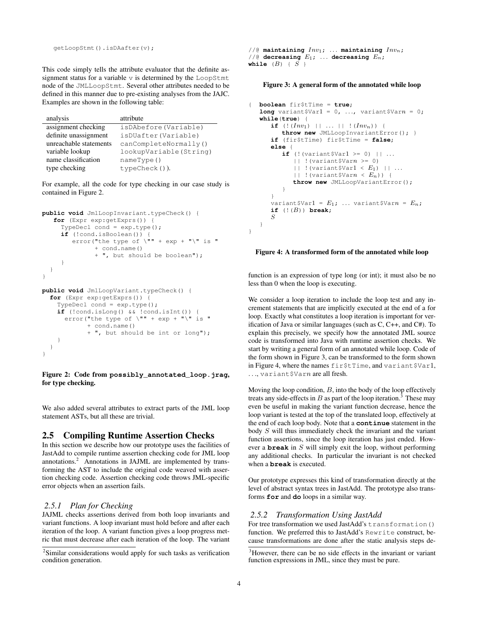getLoopStmt().isDAafter(v);

This code simply tells the attribute evaluator that the definite assignment status for a variable v is determined by the LoopStmt node of the JMLLoopStmt. Several other attributes needed to be defined in this manner due to pre-existing analyses from the JAJC. Examples are shown in the following table:

| analysis               | attribute              |
|------------------------|------------------------|
| assignment checking    | isDAbefore(Variable)   |
| definite unassignment  | isDUafter (Variable)   |
| unreachable statements | canCompleteNormally()  |
| variable lookup        | lookupVariable(String) |
| name classification    | nameType()             |
| type checking          | $typeCheck()$ ).       |

For example, all the code for type checking in our case study is contained in Figure 2.

```
public void JmlLoopInvariant.typeCheck() {
   for (Expr exp:getExprs()) {
     TypeDecl cond = exp.type();
     if (!cond.isBoolean()) {
        error("the type of \sqrt{'''' + \exp + "'\' is "
              + cond.name()
               + ", but should be boolean");
     }
  }
}
public void JmlLoopVariant.typeCheck() {
  for (Expr exp:getExprs()) {
    TypeDecl cond = exp.type();
    if (!cond.isLong() && !cond.isInt()) {
      error("the type of \Upsilon"" + exp + "\Upsilon" is "
            + cond.name()
            + ", but should be int or long");
    }
  }
```
Figure 2: Code from **possibly\_annotated\_loop.jrag**, for type checking.

We also added several attributes to extract parts of the JML loop statement ASTs, but all these are trivial.

## 2.5 Compiling Runtime Assertion Checks

In this section we describe how our prototype uses the facilities of JastAdd to compile runtime assertion checking code for JML loop annotations.<sup>2</sup> Annotations in JAJML are implemented by transforming the AST to include the original code weaved with assertion checking code. Assertion checking code throws JML-specific error objects when an assertion fails.

#### *2.5.1 Plan for Checking*

}

JAJML checks assertions derived from both loop invariants and variant functions. A loop invariant must hold before and after each iteration of the loop. A variant function gives a loop progress metric that must decrease after each iteration of the loop. The variant

 $//$ <sup> $@$ </sup> maintaining  $Inv_1;$  ... maintaining  $Inv_n;$  $1/10$  decreasing  $E_1$ ; ... decreasing  $E_n$ ; while  $(B) \{ S \}$ 

#### Figure 3: A general form of the annotated while loop

```
{ boolean fir$tTime = true;
    long variant \forall x \in \{0, ..., x\} variant \forall x \in \{0, ..., x\}while(true) {
          if (|(Inv_1) + | ... + | (Inv_n)) |throw new JMLLoopInvariantError(); }
          if (fir$tTime) fir$tTime = false;
          else {
               if ( \sqrt{Varian} \frac{1}{2} \frac{1}{2} \frac{1}{2} \frac{1}{2} \frac{1}{2} \frac{1}{2} \frac{1}{2} \frac{1}{2} \frac{1}{2} \frac{1}{2} \frac{1}{2} \frac{1}{2} \frac{1}{2} \frac{1}{2} \frac{1}{2} \frac{1}{2} \frac{1}{2} \frac{1}{2} \frac{1}{2} \frac{1}{2} \frac|| \cdot || (variant $Varn >= 0)
                     || \cdot || (variant $Var1 < E_1) || \cdot ...|| !(variant$Varn \lt E_n)) {
                     throw new JMLLoopVariantError();
               }
          }
          variant $Var1 = E_1; ... variant $Varn = E_n;
          if (! (B)) break;
          S
    }
}
```
#### Figure 4: A transformed form of the annotated while loop

function is an expression of type long (or int); it must also be no less than 0 when the loop is executing.

We consider a loop iteration to include the loop test and any increment statements that are implicitly executed at the end of a for loop. Exactly what constitutes a loop iteration is important for verification of Java or similar languages (such as C, C++, and C#). To explain this precisely, we specify how the annotated JML source code is transformed into Java with runtime assertion checks. We start by writing a general form of an annotated while loop. Code of the form shown in Figure 3, can be transformed to the form shown in Figure 4, where the names fir\$tTime, and variant\$Var1, ..., variant \$Varn are all fresh.

Moving the loop condition, B, into the body of the loop effectively treats any side-effects in  $B$  as part of the loop iteration.<sup>3</sup> These may even be useful in making the variant function decrease, hence the loop variant is tested at the top of the translated loop, effectively at the end of each loop body. Note that a **continue** statement in the body S will thus immediately check the invariant and the variant function assertions, since the loop iteration has just ended. However a **break** in S will simply exit the loop, without performing any additional checks. In particular the invariant is not checked when a **break** is executed.

Our prototype expresses this kind of transformation directly at the level of abstract syntax trees in JastAdd. The prototype also transforms **for** and **do** loops in a similar way.

#### *2.5.2 Transformation Using JastAdd*

For tree transformation we used JastAdd's transformation() function. We preferred this to JastAdd's Rewrite construct, because transformations are done after the static analysis steps de-

<sup>&</sup>lt;sup>2</sup>Similar considerations would apply for such tasks as verification condition generation.

<sup>&</sup>lt;sup>3</sup>However, there can be no side effects in the invariant or variant function expressions in JML, since they must be pure.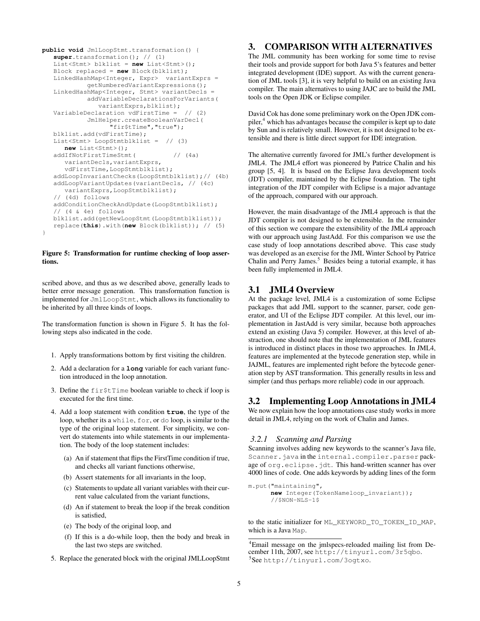```
public void JmlLoopStmt.transformation() {
   super.transformation(); // (1)
   List<Stmt> blklist = new List<Stmt>();
   Block replaced = new Block(blklist);
   LinkedHashMap<Integer, Expr> variantExprs =
           getNumberedVariantExpressions();
   LinkedHashMap<Integer, Stmt> variantDecls =
            addVariableDeclarationsForVariants(
              variantExprs,blklist);
   VariableDeclaration vdFirstTime = // (2)
            JmlHelper.createBooleanVarDecl(
                  "fir$tTime","true");
   blklist.add(vdFirstTime);
   List<Stmt> LoopStmtblklist = // (3)
     new List<Stmt>();
   addIfNotFirstTimeStmt( // (4a)
      variantDecls,variantExprs,
      vdFirstTime, LoopStmtblklist);
   addLoopInvariantChecks(LoopStmtblklist);// (4b)
   addLoopVariantUpdates(variantDecls, // (4c)
      variantExprs,LoopStmtblklist);
   // (4d) follows
   addConditionCheckAndUpdate(LoopStmtblklist);
   // (4 & 4e) follows
   blklist.add(getNewLoopStmt(LoopStmtblklist));
   replace(this).with(new Block(blklist)); // (5)
}
```
#### Figure 5: Transformation for runtime checking of loop assertions.

scribed above, and thus as we described above, generally leads to better error message generation. This transformation function is implemented for JmlLoopStmt, which allows its functionality to be inherited by all three kinds of loops.

The transformation function is shown in Figure 5. It has the following steps also indicated in the code.

- 1. Apply transformations bottom by first visiting the children.
- 2. Add a declaration for a **long** variable for each variant function introduced in the loop annotation.
- 3. Define the fir\$tTime boolean variable to check if loop is executed for the first time.
- 4. Add a loop statement with condition **true**, the type of the loop, whether its a while, for, or do loop, is similar to the type of the original loop statement. For simplicity, we convert do statements into while statements in our implementation. The body of the loop statement includes:
	- (a) An if statement that flips the FirstTime condition if true, and checks all variant functions otherwise,
	- (b) Assert statements for all invariants in the loop,
	- (c) Statements to update all variant variables with their current value calculated from the variant functions,
	- (d) An if statement to break the loop if the break condition is satisfied,
	- (e) The body of the original loop, and
	- (f) If this is a do-while loop, then the body and break in the last two steps are switched.
- 5. Replace the generated block with the original JMLLoopStmt

## 3. COMPARISON WITH ALTERNATIVES

The JML community has been working for some time to revise their tools and provide support for both Java 5's features and better integrated development (IDE) support. As with the current generation of JML tools [3], it is very helpful to build on an existing Java compiler. The main alternatives to using JAJC are to build the JML tools on the Open JDK or Eclipse compiler.

David Cok has done some preliminary work on the Open JDK compiler,<sup>4</sup> which has advantages because the compiler is kept up to date by Sun and is relatively small. However, it is not designed to be extensible and there is little direct support for IDE integration.

The alternative currently favored for JML's further development is JML4. The JML4 effort was pioneered by Patrice Chalin and his group [5, 4]. It is based on the Eclipse Java development tools (JDT) compiler, maintained by the Eclipse foundation. The tight integration of the JDT compiler with Eclipse is a major advantage of the approach, compared with our approach.

However, the main disadvantage of the JML4 approach is that the JDT compiler is not designed to be extensible. In the remainder of this section we compare the extensibility of the JML4 approach with our approach using JastAdd. For this comparison we use the case study of loop annotations described above. This case study was developed as an exercise for the JML Winter School by Patrice Chalin and Perry James.<sup>5</sup> Besides being a tutorial example, it has been fully implemented in JML4.

## 3.1 JML4 Overview

At the package level, JML4 is a customization of some Eclipse packages that add JML support to the scanner, parser, code generator, and UI of the Eclipse JDT compiler. At this level, our implementation in JastAdd is very similar, because both approaches extend an existing (Java 5) compiler. However, at this level of abstraction, one should note that the implementation of JML features is introduced in distinct places in those two approaches. In JML4, features are implemented at the bytecode generation step, while in JAJML, features are implemented right before the bytecode generation step by AST transformation. This generally results in less and simpler (and thus perhaps more reliable) code in our approach.

## 3.2 Implementing Loop Annotations in JML4

We now explain how the loop annotations case study works in more detail in JML4, relying on the work of Chalin and James.

#### *3.2.1 Scanning and Parsing*

Scanning involves adding new keywords to the scanner's Java file, Scanner.java in the internal.compiler.parser package of org.eclipse.jdt. This hand-written scanner has over 4000 lines of code. One adds keywords by adding lines of the form

```
m.put("maintaining",
      new Integer(TokenNameloop_invariant));
      //$NON-NLS-1$
```
to the static initializer for ML\_KEYWORD\_TO\_TOKEN\_ID\_MAP, which is a Java Map.

<sup>4</sup>Email message on the jmlspecs-reloaded mailing list from December 11th, 2007, see http://tinyurl.com/3r5qbo. 5 See http://tinyurl.com/3ogtxo.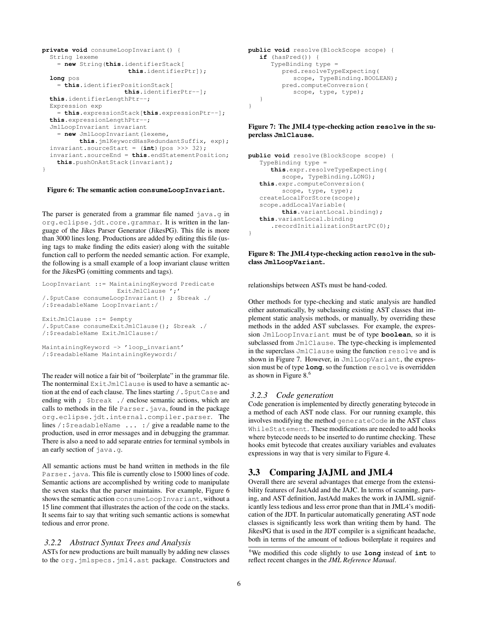```
private void consumeLoopInvariant() {
  String lexeme
    = new String(this.identifierStack[
                       this.identifierPtr]);
  long pos
    = this.identifierPositionStack[
                      this.identifierPtr--];
  this.identifierLengthPtr--;
 Expression exp
    = this.expressionStack[this.expressionPtr--];
  this.expressionLengthPtr--;
  JmlLoopInvariant invariant
    = new JmlLoopInvariant(lexeme,
         this.jmlKeywordHasRedundantSuffix, exp);
  invariant.sourceStart = (int)(pos >>> 32);
  invariant.sourceEnd = this.endStatementPosition;
    this.pushOnAstStack(invariant);
}
```
#### Figure 6: The semantic action **consumeLoopInvariant**.

The parser is generated from a grammar file named java.g in org.eclipse.jdt.core.grammar. It is written in the language of the Jikes Parser Generator (JikesPG). This file is more than 3000 lines long. Productions are added by editing this file (using tags to make finding the edits easier) along with the suitable function call to perform the needed semantic action. For example, the following is a small example of a loop invariant clause written for the JikesPG (omitting comments and tags).

```
LoopInvariant ::= MaintainingKeyword Predicate
                    ExitJmlClause ':'
/.$putCase consumeLoopInvariant() ; $break ./
/:$readableName LoopInvariant:/
ExitJmlClause ::= $empty
/.$putCase consumeExitJmlClause(); $break ./
/:$readableName ExitJmlClause:/
MaintainingKeyword -> 'loop_invariant'
/:$readableName MaintainingKeyword:/
```
The reader will notice a fair bit of "boilerplate" in the grammar file. The nonterminal ExitJmlClause is used to have a semantic action at the end of each clause. The lines starting /.\$putCase and ending with ; Sbreak ./ enclose semantic actions, which are calls to methods in the file Parser.java, found in the package org.eclipse.jdt.internal.compiler.parser. The lines /:\$readableName ... :/ give a readable name to the production, used in error messages and in debugging the grammar. There is also a need to add separate entries for terminal symbols in an early section of java.g.

All semantic actions must be hand written in methods in the file Parser. java. This file is currently close to 15000 lines of code. Semantic actions are accomplished by writing code to manipulate the seven stacks that the parser maintains. For example, Figure 6 shows the semantic action consumeLoopInvariant, without a 15 line comment that illustrates the action of the code on the stacks. It seems fair to say that writing such semantic actions is somewhat tedious and error prone.

#### *3.2.2 Abstract Syntax Trees and Analysis*

ASTs for new productions are built manually by adding new classes to the org.jmlspecs.jml4.ast package. Constructors and

```
public void resolve(BlockScope scope) {
  if (hasPred()) {
      TypeBinding type =
         pred.resolveTypeExpecting(
            scope, TypeBinding.BOOLEAN);
         pred.computeConversion(
            scope, type, type);
   }
}
```
#### Figure 7: The JML4 type-checking action **resolve** in the superclass **JmlClause**.

```
public void resolve(BlockScope scope) {
   TypeBinding type =
      this.expr.resolveTypeExpecting(
         scope, TypeBinding.LONG);
   this.expr.computeConversion(
         scope, type, type);
   createLocalForStore(scope);
   scope.addLocalVariable(
         this.variantLocal.binding);
   this.variantLocal.binding
      .recordInitializationStartPC(0);
}
```
#### Figure 8: The JML4 type-checking action **resolve** in the subclass **JmlLoopVariant**.

relationships between ASTs must be hand-coded.

Other methods for type-checking and static analysis are handled either automatically, by subclassing existing AST classes that implement static analysis methods, or manually, by overriding these methods in the added AST subclasses. For example, the expression JmlLoopInvariant must be of type **boolean**, so it is subclassed from JmlClause. The type-checking is implemented in the superclass JmlClause using the function resolve and is shown in Figure 7. However, in JmlLoopVariant, the expression must be of type **long**, so the function resolve is overridden as shown in Figure 8.<sup>6</sup>

#### *3.2.3 Code generation*

Code generation is implemented by directly generating bytecode in a method of each AST node class. For our running example, this involves modifying the method generateCode in the AST class WhileStatement. These modifications are needed to add hooks where bytecode needs to be inserted to do runtime checking. These hooks emit bytecode that creates auxiliary variables and evaluates expressions in way that is very similar to Figure 4.

## 3.3 Comparing JAJML and JML4

Overall there are several advantages that emerge from the extensibility features of JastAdd and the JAJC. In terms of scanning, parsing, and AST definition, JastAdd makes the work in JAJML significantly less tedious and less error prone than that in JML4's modification of the JDT. In particular automatically generating AST node classes is significantly less work than writing them by hand. The JikesPG that is used in the JDT compiler is a significant headache, both in terms of the amount of tedious boilerplate it requires and

<sup>6</sup>We modified this code slightly to use **long** instead of **int** to reflect recent changes in the *JML Reference Manual*.